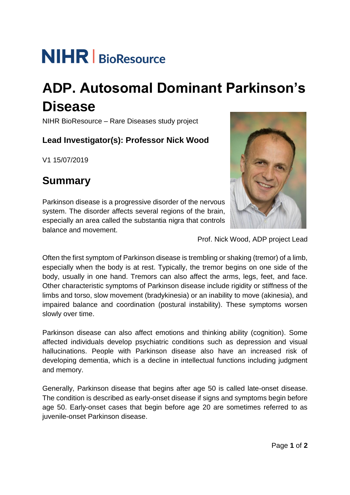# **NIHR** BioResource

## **ADP. Autosomal Dominant Parkinson's Disease**

NIHR BioResource – Rare Diseases study project

#### **Lead Investigator(s): Professor Nick Wood**

V1 15/07/2019

## **Summary**

Parkinson disease is a progressive disorder of the nervous system. The disorder affects several regions of the brain, especially an area called the substantia nigra that controls balance and movement.



Prof. Nick Wood, ADP project Lead

Often the first symptom of Parkinson disease is trembling or shaking (tremor) of a limb, especially when the body is at rest. Typically, the tremor begins on one side of the body, usually in one hand. Tremors can also affect the arms, legs, feet, and face. Other characteristic symptoms of Parkinson disease include rigidity or stiffness of the limbs and torso, slow movement (bradykinesia) or an inability to move (akinesia), and impaired balance and coordination (postural instability). These symptoms worsen slowly over time.

Parkinson disease can also affect emotions and thinking ability (cognition). Some affected individuals develop psychiatric conditions such as depression and visual hallucinations. People with Parkinson disease also have an increased risk of developing dementia, which is a decline in intellectual functions including judgment and memory.

Generally, Parkinson disease that begins after age 50 is called late-onset disease. The condition is described as early-onset disease if signs and symptoms begin before age 50. Early-onset cases that begin before age 20 are sometimes referred to as juvenile-onset Parkinson disease.